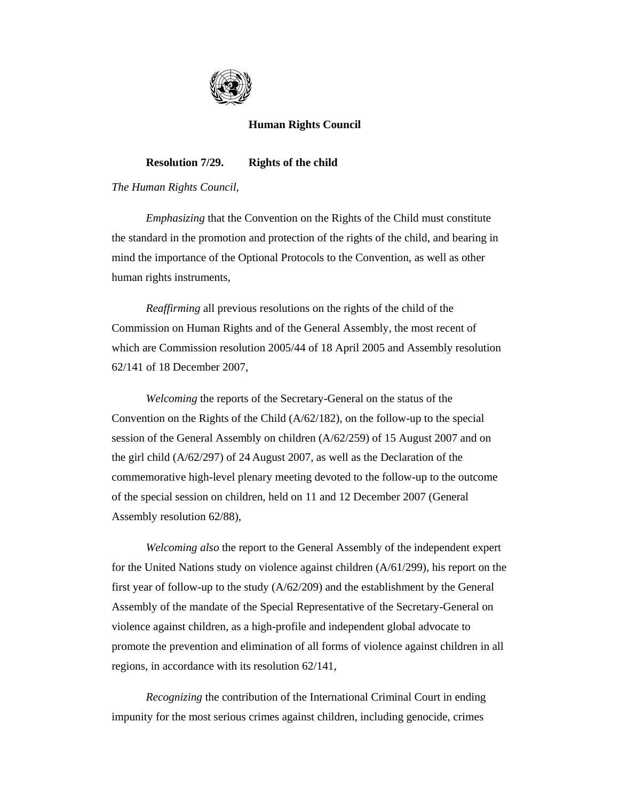

# **Human Rights Council**

# **Resolution 7/29. Rights of the child**

*The Human Rights Council*,

*Emphasizing* that the Convention on the Rights of the Child must constitute the standard in the promotion and protection of the rights of the child, and bearing in mind the importance of the Optional Protocols to the Convention, as well as other human rights instruments,

*Reaffirming* all previous resolutions on the rights of the child of the Commission on Human Rights and of the General Assembly, the most recent of which are Commission resolution 2005/44 of 18 April 2005 and Assembly resolution 62/141 of 18 December 2007,

*Welcoming* the reports of the Secretary-General on the status of the Convention on the Rights of the Child (A/62/182), on the follow-up to the special session of the General Assembly on children (A/62/259) of 15 August 2007 and on the girl child (A/62/297) of 24 August 2007, as well as the Declaration of the commemorative high-level plenary meeting devoted to the follow-up to the outcome of the special session on children, held on 11 and 12 December 2007 (General Assembly resolution 62/88),

*Welcoming also* the report to the General Assembly of the independent expert for the United Nations study on violence against children (A/61/299), his report on the first year of follow-up to the study (A/62/209) and the establishment by the General Assembly of the mandate of the Special Representative of the Secretary-General on violence against children, as a high-profile and independent global advocate to promote the prevention and elimination of all forms of violence against children in all regions, in accordance with its resolution 62/141,

*Recognizing* the contribution of the International Criminal Court in ending impunity for the most serious crimes against children, including genocide, crimes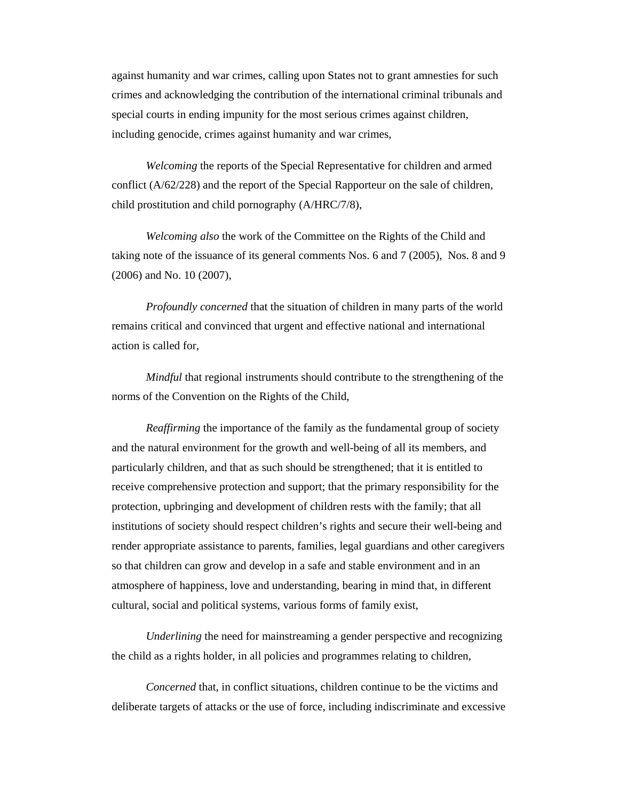against humanity and war crimes, calling upon States not to grant amnesties for such crimes and acknowledging the contribution of the international criminal tribunals and special courts in ending impunity for the most serious crimes against children, including genocide, crimes against humanity and war crimes,

*Welcoming* the reports of the Special Representative for children and armed conflict (A/62/228) and the report of the Special Rapporteur on the sale of children, child prostitution and child pornography (A/HRC/7/8),

*Welcoming also* the work of the Committee on the Rights of the Child and taking note of the issuance of its general comments Nos. 6 and 7 (2005), Nos. 8 and 9 (2006) and No. 10 (2007),

*Profoundly concerned* that the situation of children in many parts of the world remains critical and convinced that urgent and effective national and international action is called for,

*Mindful* that regional instruments should contribute to the strengthening of the norms of the Convention on the Rights of the Child,

*Reaffirming* the importance of the family as the fundamental group of society and the natural environment for the growth and well-being of all its members, and particularly children, and that as such should be strengthened; that it is entitled to receive comprehensive protection and support; that the primary responsibility for the protection, upbringing and development of children rests with the family; that all institutions of society should respect children's rights and secure their well-being and render appropriate assistance to parents, families, legal guardians and other caregivers so that children can grow and develop in a safe and stable environment and in an atmosphere of happiness, love and understanding, bearing in mind that, in different cultural, social and political systems, various forms of family exist,

*Underlining* the need for mainstreaming a gender perspective and recognizing the child as a rights holder, in all policies and programmes relating to children,

*Concerned* that, in conflict situations, children continue to be the victims and deliberate targets of attacks or the use of force, including indiscriminate and excessive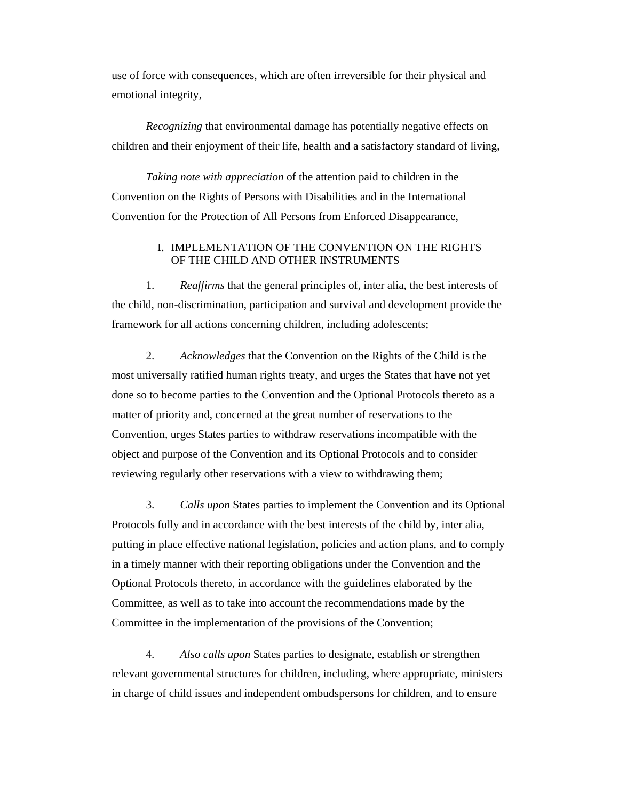use of force with consequences, which are often irreversible for their physical and emotional integrity,

*Recognizing* that environmental damage has potentially negative effects on children and their enjoyment of their life, health and a satisfactory standard of living,

*Taking note with appreciation* of the attention paid to children in the Convention on the Rights of Persons with Disabilities and in the International Convention for the Protection of All Persons from Enforced Disappearance,

# I. IMPLEMENTATION OF THE CONVENTION ON THE RIGHTS OF THE CHILD AND OTHER INSTRUMENTS

 1. *Reaffirms* that the general principles of, inter alia, the best interests of the child, non-discrimination, participation and survival and development provide the framework for all actions concerning children, including adolescents;

 2. *Acknowledges* that the Convention on the Rights of the Child is the most universally ratified human rights treaty, and urges the States that have not yet done so to become parties to the Convention and the Optional Protocols thereto as a matter of priority and, concerned at the great number of reservations to the Convention, urges States parties to withdraw reservations incompatible with the object and purpose of the Convention and its Optional Protocols and to consider reviewing regularly other reservations with a view to withdrawing them;

 3. *Calls upon* States parties to implement the Convention and its Optional Protocols fully and in accordance with the best interests of the child by, inter alia, putting in place effective national legislation, policies and action plans, and to comply in a timely manner with their reporting obligations under the Convention and the Optional Protocols thereto, in accordance with the guidelines elaborated by the Committee, as well as to take into account the recommendations made by the Committee in the implementation of the provisions of the Convention;

 4. *Also calls upon* States parties to designate, establish or strengthen relevant governmental structures for children, including, where appropriate, ministers in charge of child issues and independent ombudspersons for children, and to ensure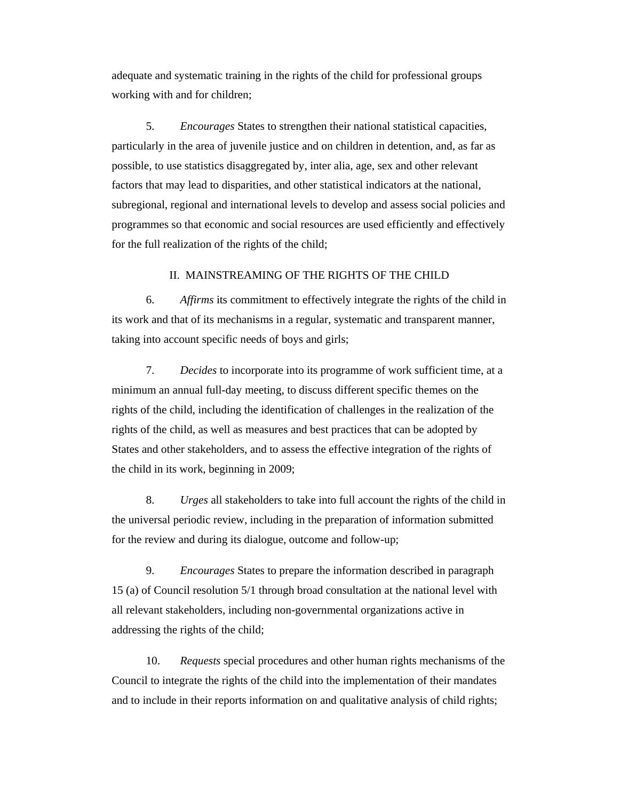adequate and systematic training in the rights of the child for professional groups working with and for children;

 5. *Encourages* States to strengthen their national statistical capacities, particularly in the area of juvenile justice and on children in detention, and, as far as possible, to use statistics disaggregated by, inter alia, age, sex and other relevant factors that may lead to disparities, and other statistical indicators at the national, subregional, regional and international levels to develop and assess social policies and programmes so that economic and social resources are used efficiently and effectively for the full realization of the rights of the child;

## II. MAINSTREAMING OF THE RIGHTS OF THE CHILD

 6. *Affirms* its commitment to effectively integrate the rights of the child in its work and that of its mechanisms in a regular, systematic and transparent manner, taking into account specific needs of boys and girls;

 7. *Decides* to incorporate into its programme of work sufficient time, at a minimum an annual full-day meeting, to discuss different specific themes on the rights of the child, including the identification of challenges in the realization of the rights of the child, as well as measures and best practices that can be adopted by States and other stakeholders, and to assess the effective integration of the rights of the child in its work, beginning in 2009;

 8. *Urges* all stakeholders to take into full account the rights of the child in the universal periodic review, including in the preparation of information submitted for the review and during its dialogue, outcome and follow-up;

 9. *Encourages* States to prepare the information described in paragraph 15 (a) of Council resolution 5/1 through broad consultation at the national level with all relevant stakeholders, including non-governmental organizations active in addressing the rights of the child;

 10. *Requests* special procedures and other human rights mechanisms of the Council to integrate the rights of the child into the implementation of their mandates and to include in their reports information on and qualitative analysis of child rights;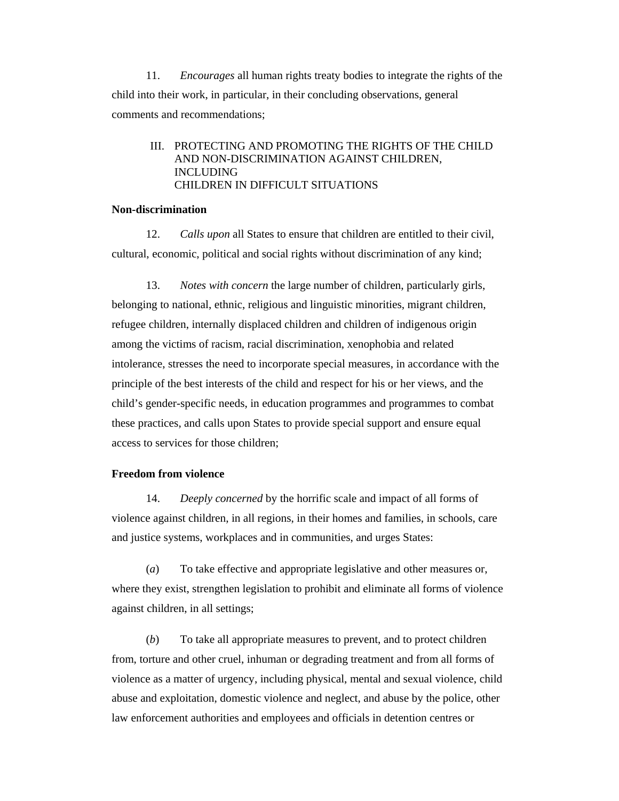11. *Encourages* all human rights treaty bodies to integrate the rights of the child into their work, in particular, in their concluding observations, general comments and recommendations;

# III. PROTECTING AND PROMOTING THE RIGHTS OF THE CHILD AND NON-DISCRIMINATION AGAINST CHILDREN, INCLUDING CHILDREN IN DIFFICULT SITUATIONS

#### **Non-discrimination**

 12. *Calls upon* all States to ensure that children are entitled to their civil, cultural, economic, political and social rights without discrimination of any kind;

 13. *Notes with concern* the large number of children, particularly girls, belonging to national, ethnic, religious and linguistic minorities, migrant children, refugee children, internally displaced children and children of indigenous origin among the victims of racism, racial discrimination, xenophobia and related intolerance, stresses the need to incorporate special measures, in accordance with the principle of the best interests of the child and respect for his or her views, and the child's gender-specific needs, in education programmes and programmes to combat these practices, and calls upon States to provide special support and ensure equal access to services for those children;

## **Freedom from violence**

 14. *Deeply concerned* by the horrific scale and impact of all forms of violence against children, in all regions, in their homes and families, in schools, care and justice systems, workplaces and in communities, and urges States:

 (*a*) To take effective and appropriate legislative and other measures or, where they exist, strengthen legislation to prohibit and eliminate all forms of violence against children, in all settings;

 (*b*) To take all appropriate measures to prevent, and to protect children from, torture and other cruel, inhuman or degrading treatment and from all forms of violence as a matter of urgency, including physical, mental and sexual violence, child abuse and exploitation, domestic violence and neglect, and abuse by the police, other law enforcement authorities and employees and officials in detention centres or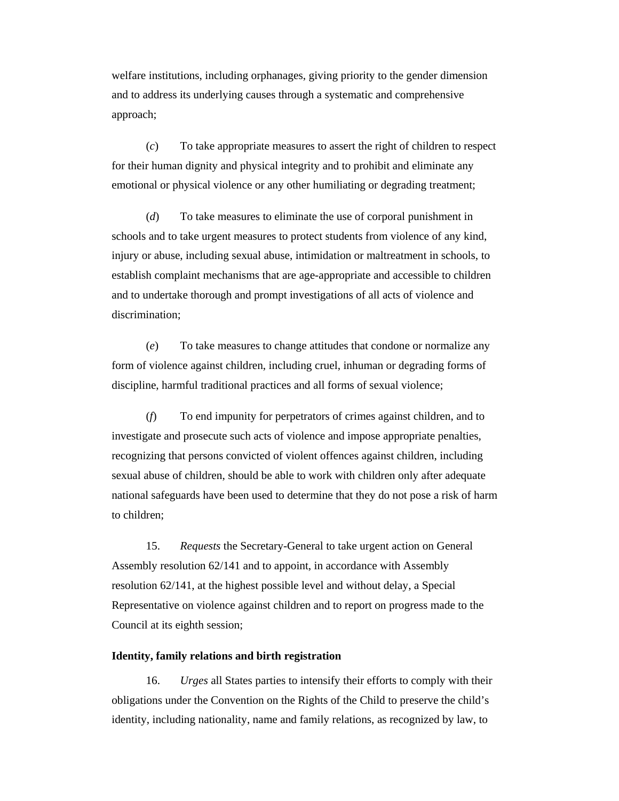welfare institutions, including orphanages, giving priority to the gender dimension and to address its underlying causes through a systematic and comprehensive approach;

 (*c*) To take appropriate measures to assert the right of children to respect for their human dignity and physical integrity and to prohibit and eliminate any emotional or physical violence or any other humiliating or degrading treatment;

 (*d*) To take measures to eliminate the use of corporal punishment in schools and to take urgent measures to protect students from violence of any kind, injury or abuse, including sexual abuse, intimidation or maltreatment in schools, to establish complaint mechanisms that are age-appropriate and accessible to children and to undertake thorough and prompt investigations of all acts of violence and discrimination;

 (*e*) To take measures to change attitudes that condone or normalize any form of violence against children, including cruel, inhuman or degrading forms of discipline, harmful traditional practices and all forms of sexual violence;

 (*f*) To end impunity for perpetrators of crimes against children, and to investigate and prosecute such acts of violence and impose appropriate penalties, recognizing that persons convicted of violent offences against children, including sexual abuse of children, should be able to work with children only after adequate national safeguards have been used to determine that they do not pose a risk of harm to children;

 15. *Requests* the Secretary-General to take urgent action on General Assembly resolution 62/141 and to appoint, in accordance with Assembly resolution 62/141, at the highest possible level and without delay, a Special Representative on violence against children and to report on progress made to the Council at its eighth session;

## **Identity, family relations and birth registration**

 16. *Urges* all States parties to intensify their efforts to comply with their obligations under the Convention on the Rights of the Child to preserve the child's identity, including nationality, name and family relations, as recognized by law, to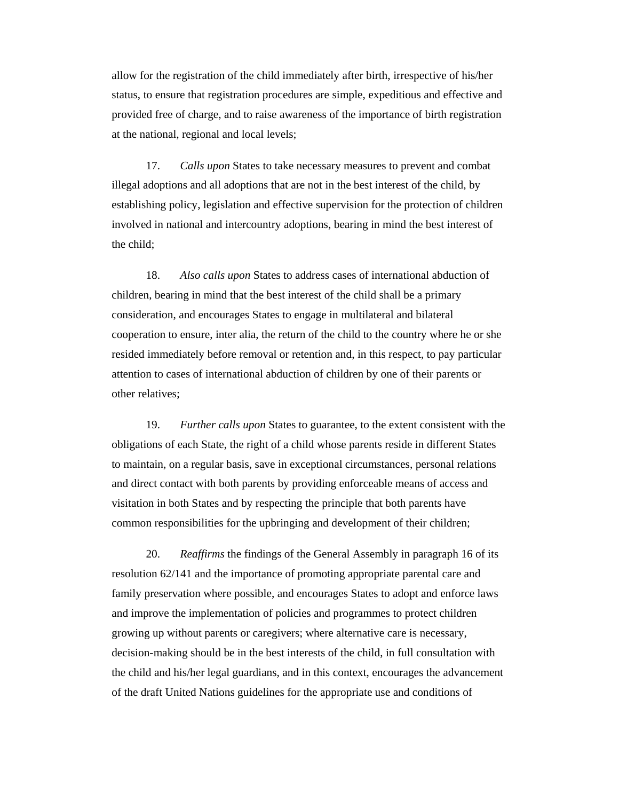allow for the registration of the child immediately after birth, irrespective of his/her status, to ensure that registration procedures are simple, expeditious and effective and provided free of charge, and to raise awareness of the importance of birth registration at the national, regional and local levels;

 17. *Calls upon* States to take necessary measures to prevent and combat illegal adoptions and all adoptions that are not in the best interest of the child, by establishing policy, legislation and effective supervision for the protection of children involved in national and intercountry adoptions, bearing in mind the best interest of the child;

 18. *Also calls upon* States to address cases of international abduction of children, bearing in mind that the best interest of the child shall be a primary consideration, and encourages States to engage in multilateral and bilateral cooperation to ensure, inter alia, the return of the child to the country where he or she resided immediately before removal or retention and, in this respect, to pay particular attention to cases of international abduction of children by one of their parents or other relatives;

 19. *Further calls upon* States to guarantee, to the extent consistent with the obligations of each State, the right of a child whose parents reside in different States to maintain, on a regular basis, save in exceptional circumstances, personal relations and direct contact with both parents by providing enforceable means of access and visitation in both States and by respecting the principle that both parents have common responsibilities for the upbringing and development of their children;

 20. *Reaffirms* the findings of the General Assembly in paragraph 16 of its resolution 62/141 and the importance of promoting appropriate parental care and family preservation where possible, and encourages States to adopt and enforce laws and improve the implementation of policies and programmes to protect children growing up without parents or caregivers; where alternative care is necessary, decision-making should be in the best interests of the child, in full consultation with the child and his/her legal guardians, and in this context, encourages the advancement of the draft United Nations guidelines for the appropriate use and conditions of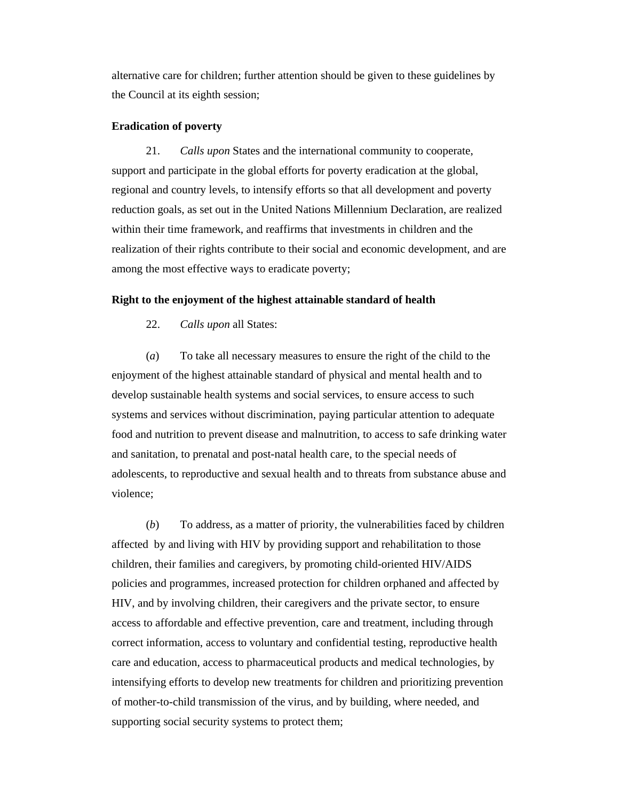alternative care for children; further attention should be given to these guidelines by the Council at its eighth session;

#### **Eradication of poverty**

 21. *Calls upon* States and the international community to cooperate, support and participate in the global efforts for poverty eradication at the global, regional and country levels, to intensify efforts so that all development and poverty reduction goals, as set out in the United Nations Millennium Declaration, are realized within their time framework, and reaffirms that investments in children and the realization of their rights contribute to their social and economic development, and are among the most effective ways to eradicate poverty;

## **Right to the enjoyment of the highest attainable standard of health**

22. *Calls upon* all States:

 (*a*) To take all necessary measures to ensure the right of the child to the enjoyment of the highest attainable standard of physical and mental health and to develop sustainable health systems and social services, to ensure access to such systems and services without discrimination, paying particular attention to adequate food and nutrition to prevent disease and malnutrition, to access to safe drinking water and sanitation, to prenatal and post-natal health care, to the special needs of adolescents, to reproductive and sexual health and to threats from substance abuse and violence;

 (*b*) To address, as a matter of priority, the vulnerabilities faced by children affected by and living with HIV by providing support and rehabilitation to those children, their families and caregivers, by promoting child-oriented HIV/AIDS policies and programmes, increased protection for children orphaned and affected by HIV, and by involving children, their caregivers and the private sector, to ensure access to affordable and effective prevention, care and treatment, including through correct information, access to voluntary and confidential testing, reproductive health care and education, access to pharmaceutical products and medical technologies, by intensifying efforts to develop new treatments for children and prioritizing prevention of mother-to-child transmission of the virus, and by building, where needed, and supporting social security systems to protect them;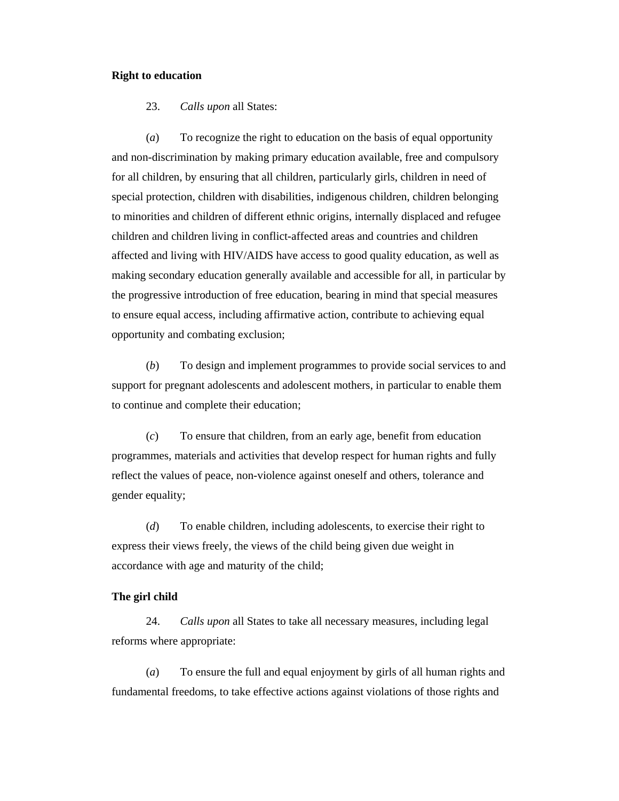## **Right to education**

23. *Calls upon* all States:

 (*a*) To recognize the right to education on the basis of equal opportunity and non-discrimination by making primary education available, free and compulsory for all children, by ensuring that all children, particularly girls, children in need of special protection, children with disabilities, indigenous children, children belonging to minorities and children of different ethnic origins, internally displaced and refugee children and children living in conflict-affected areas and countries and children affected and living with HIV/AIDS have access to good quality education, as well as making secondary education generally available and accessible for all, in particular by the progressive introduction of free education, bearing in mind that special measures to ensure equal access, including affirmative action, contribute to achieving equal opportunity and combating exclusion;

 (*b*) To design and implement programmes to provide social services to and support for pregnant adolescents and adolescent mothers, in particular to enable them to continue and complete their education;

 (*c*) To ensure that children, from an early age, benefit from education programmes, materials and activities that develop respect for human rights and fully reflect the values of peace, non-violence against oneself and others, tolerance and gender equality;

 (*d*) To enable children, including adolescents, to exercise their right to express their views freely, the views of the child being given due weight in accordance with age and maturity of the child;

## **The girl child**

 24. *Calls upon* all States to take all necessary measures, including legal reforms where appropriate:

 (*a*) To ensure the full and equal enjoyment by girls of all human rights and fundamental freedoms, to take effective actions against violations of those rights and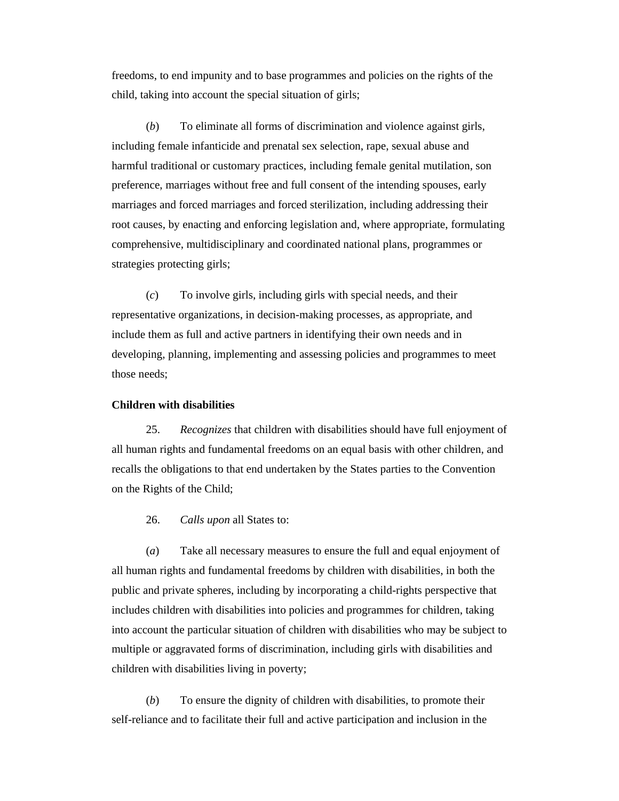freedoms, to end impunity and to base programmes and policies on the rights of the child, taking into account the special situation of girls;

 (*b*) To eliminate all forms of discrimination and violence against girls, including female infanticide and prenatal sex selection, rape, sexual abuse and harmful traditional or customary practices, including female genital mutilation, son preference, marriages without free and full consent of the intending spouses, early marriages and forced marriages and forced sterilization, including addressing their root causes, by enacting and enforcing legislation and, where appropriate, formulating comprehensive, multidisciplinary and coordinated national plans, programmes or strategies protecting girls;

 (*c*) To involve girls, including girls with special needs, and their representative organizations, in decision-making processes, as appropriate, and include them as full and active partners in identifying their own needs and in developing, planning, implementing and assessing policies and programmes to meet those needs;

#### **Children with disabilities**

 25. *Recognizes* that children with disabilities should have full enjoyment of all human rights and fundamental freedoms on an equal basis with other children, and recalls the obligations to that end undertaken by the States parties to the Convention on the Rights of the Child;

26. *Calls upon* all States to:

 (*a*) Take all necessary measures to ensure the full and equal enjoyment of all human rights and fundamental freedoms by children with disabilities, in both the public and private spheres, including by incorporating a child-rights perspective that includes children with disabilities into policies and programmes for children, taking into account the particular situation of children with disabilities who may be subject to multiple or aggravated forms of discrimination, including girls with disabilities and children with disabilities living in poverty;

 (*b*) To ensure the dignity of children with disabilities, to promote their self-reliance and to facilitate their full and active participation and inclusion in the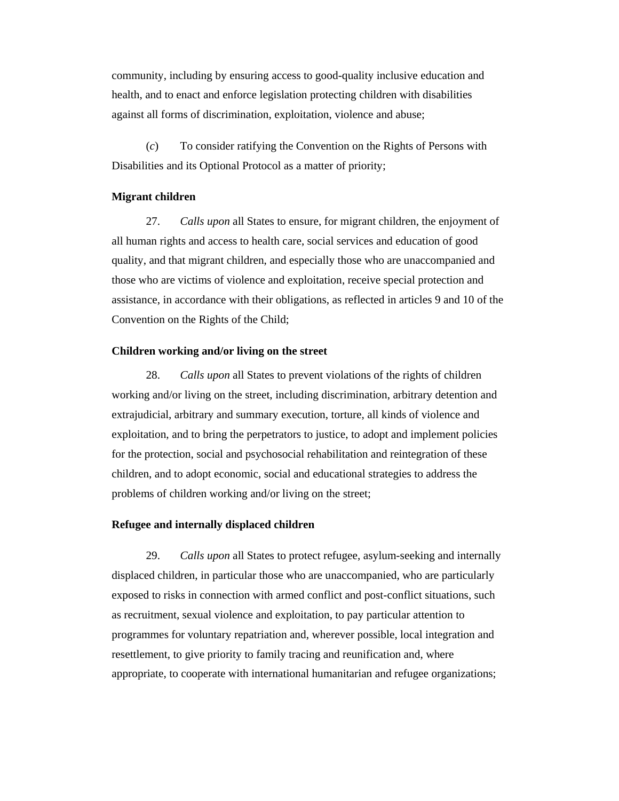community, including by ensuring access to good-quality inclusive education and health, and to enact and enforce legislation protecting children with disabilities against all forms of discrimination, exploitation, violence and abuse;

 (*c*) To consider ratifying the Convention on the Rights of Persons with Disabilities and its Optional Protocol as a matter of priority;

## **Migrant children**

 27. *Calls upon* all States to ensure, for migrant children, the enjoyment of all human rights and access to health care, social services and education of good quality, and that migrant children, and especially those who are unaccompanied and those who are victims of violence and exploitation, receive special protection and assistance, in accordance with their obligations, as reflected in articles 9 and 10 of the Convention on the Rights of the Child;

## **Children working and/or living on the street**

 28. *Calls upon* all States to prevent violations of the rights of children working and/or living on the street, including discrimination, arbitrary detention and extrajudicial, arbitrary and summary execution, torture, all kinds of violence and exploitation, and to bring the perpetrators to justice, to adopt and implement policies for the protection, social and psychosocial rehabilitation and reintegration of these children, and to adopt economic, social and educational strategies to address the problems of children working and/or living on the street;

## **Refugee and internally displaced children**

 29. *Calls upon* all States to protect refugee, asylum-seeking and internally displaced children, in particular those who are unaccompanied, who are particularly exposed to risks in connection with armed conflict and post-conflict situations, such as recruitment, sexual violence and exploitation, to pay particular attention to programmes for voluntary repatriation and, wherever possible, local integration and resettlement, to give priority to family tracing and reunification and, where appropriate, to cooperate with international humanitarian and refugee organizations;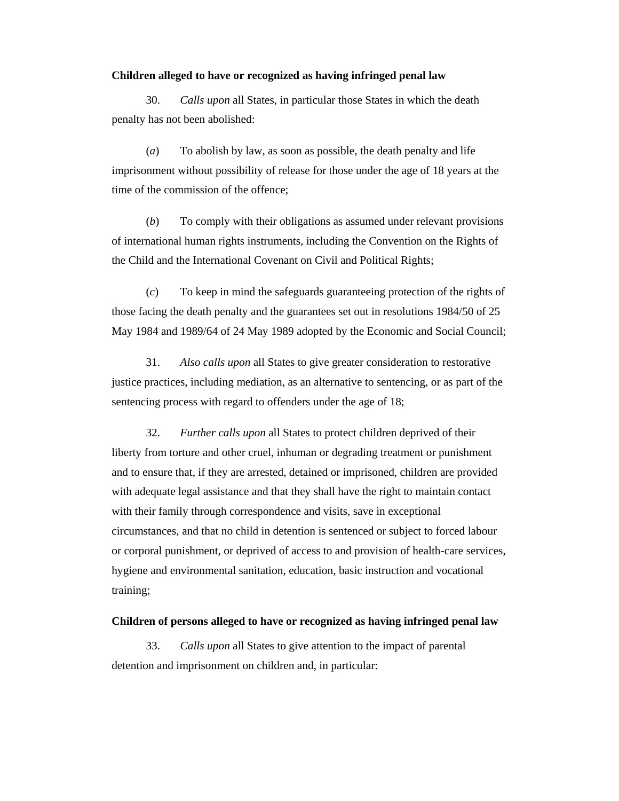#### **Children alleged to have or recognized as having infringed penal law**

 30. *Calls upon* all States, in particular those States in which the death penalty has not been abolished:

 (*a*) To abolish by law, as soon as possible, the death penalty and life imprisonment without possibility of release for those under the age of 18 years at the time of the commission of the offence;

 (*b*) To comply with their obligations as assumed under relevant provisions of international human rights instruments, including the Convention on the Rights of the Child and the International Covenant on Civil and Political Rights;

 (*c*) To keep in mind the safeguards guaranteeing protection of the rights of those facing the death penalty and the guarantees set out in resolutions 1984/50 of 25 May 1984 and 1989/64 of 24 May 1989 adopted by the Economic and Social Council;

 31. *Also calls upon* all States to give greater consideration to restorative justice practices, including mediation, as an alternative to sentencing, or as part of the sentencing process with regard to offenders under the age of 18;

 32. *Further calls upon* all States to protect children deprived of their liberty from torture and other cruel, inhuman or degrading treatment or punishment and to ensure that, if they are arrested, detained or imprisoned, children are provided with adequate legal assistance and that they shall have the right to maintain contact with their family through correspondence and visits, save in exceptional circumstances, and that no child in detention is sentenced or subject to forced labour or corporal punishment, or deprived of access to and provision of health-care services, hygiene and environmental sanitation, education, basic instruction and vocational training;

#### **Children of persons alleged to have or recognized as having infringed penal law**

 33. *Calls upon* all States to give attention to the impact of parental detention and imprisonment on children and, in particular: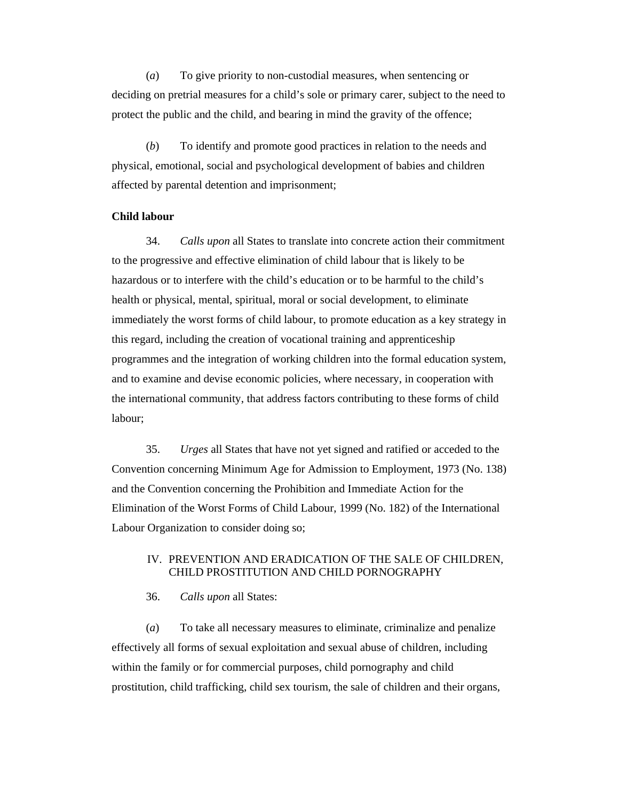(*a*) To give priority to non-custodial measures, when sentencing or deciding on pretrial measures for a child's sole or primary carer, subject to the need to protect the public and the child, and bearing in mind the gravity of the offence;

 (*b*) To identify and promote good practices in relation to the needs and physical, emotional, social and psychological development of babies and children affected by parental detention and imprisonment;

# **Child labour**

 34. *Calls upon* all States to translate into concrete action their commitment to the progressive and effective elimination of child labour that is likely to be hazardous or to interfere with the child's education or to be harmful to the child's health or physical, mental, spiritual, moral or social development, to eliminate immediately the worst forms of child labour, to promote education as a key strategy in this regard, including the creation of vocational training and apprenticeship programmes and the integration of working children into the formal education system, and to examine and devise economic policies, where necessary, in cooperation with the international community, that address factors contributing to these forms of child labour;

 35. *Urges* all States that have not yet signed and ratified or acceded to the Convention concerning Minimum Age for Admission to Employment, 1973 (No. 138) and the Convention concerning the Prohibition and Immediate Action for the Elimination of the Worst Forms of Child Labour, 1999 (No. 182) of the International Labour Organization to consider doing so;

## IV. PREVENTION AND ERADICATION OF THE SALE OF CHILDREN, CHILD PROSTITUTION AND CHILD PORNOGRAPHY

36. *Calls upon* all States:

 (*a*) To take all necessary measures to eliminate, criminalize and penalize effectively all forms of sexual exploitation and sexual abuse of children, including within the family or for commercial purposes, child pornography and child prostitution, child trafficking, child sex tourism, the sale of children and their organs,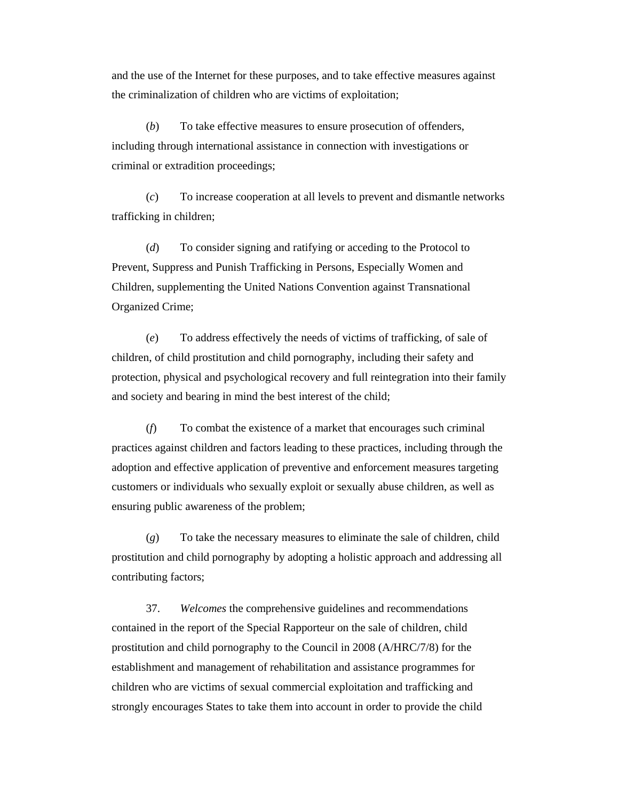and the use of the Internet for these purposes, and to take effective measures against the criminalization of children who are victims of exploitation;

 (*b*) To take effective measures to ensure prosecution of offenders, including through international assistance in connection with investigations or criminal or extradition proceedings;

 (*c*) To increase cooperation at all levels to prevent and dismantle networks trafficking in children;

 (*d*) To consider signing and ratifying or acceding to the Protocol to Prevent, Suppress and Punish Trafficking in Persons, Especially Women and Children, supplementing the United Nations Convention against Transnational Organized Crime;

 (*e*) To address effectively the needs of victims of trafficking, of sale of children, of child prostitution and child pornography, including their safety and protection, physical and psychological recovery and full reintegration into their family and society and bearing in mind the best interest of the child;

 (*f*) To combat the existence of a market that encourages such criminal practices against children and factors leading to these practices, including through the adoption and effective application of preventive and enforcement measures targeting customers or individuals who sexually exploit or sexually abuse children, as well as ensuring public awareness of the problem;

 (*g*) To take the necessary measures to eliminate the sale of children, child prostitution and child pornography by adopting a holistic approach and addressing all contributing factors;

 37. *Welcomes* the comprehensive guidelines and recommendations contained in the report of the Special Rapporteur on the sale of children, child prostitution and child pornography to the Council in 2008 (A/HRC/7/8) for the establishment and management of rehabilitation and assistance programmes for children who are victims of sexual commercial exploitation and trafficking and strongly encourages States to take them into account in order to provide the child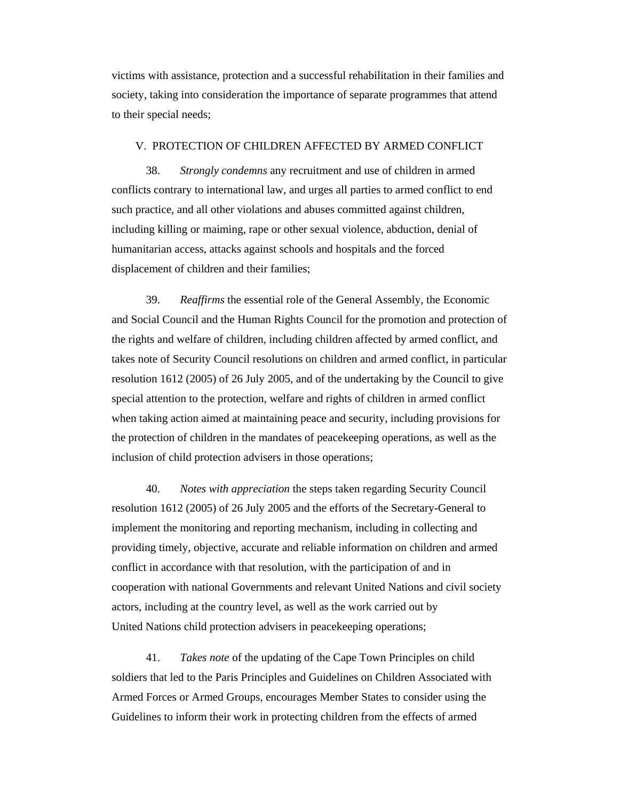victims with assistance, protection and a successful rehabilitation in their families and society, taking into consideration the importance of separate programmes that attend to their special needs;

#### V. PROTECTION OF CHILDREN AFFECTED BY ARMED CONFLICT

 38. *Strongly condemns* any recruitment and use of children in armed conflicts contrary to international law, and urges all parties to armed conflict to end such practice, and all other violations and abuses committed against children, including killing or maiming, rape or other sexual violence, abduction, denial of humanitarian access, attacks against schools and hospitals and the forced displacement of children and their families;

 39. *Reaffirms* the essential role of the General Assembly, the Economic and Social Council and the Human Rights Council for the promotion and protection of the rights and welfare of children, including children affected by armed conflict, and takes note of Security Council resolutions on children and armed conflict, in particular resolution 1612 (2005) of 26 July 2005, and of the undertaking by the Council to give special attention to the protection, welfare and rights of children in armed conflict when taking action aimed at maintaining peace and security, including provisions for the protection of children in the mandates of peacekeeping operations, as well as the inclusion of child protection advisers in those operations;

 40. *Notes with appreciation* the steps taken regarding Security Council resolution 1612 (2005) of 26 July 2005 and the efforts of the Secretary-General to implement the monitoring and reporting mechanism, including in collecting and providing timely, objective, accurate and reliable information on children and armed conflict in accordance with that resolution, with the participation of and in cooperation with national Governments and relevant United Nations and civil society actors, including at the country level, as well as the work carried out by United Nations child protection advisers in peacekeeping operations;

 41. *Takes note* of the updating of the Cape Town Principles on child soldiers that led to the Paris Principles and Guidelines on Children Associated with Armed Forces or Armed Groups, encourages Member States to consider using the Guidelines to inform their work in protecting children from the effects of armed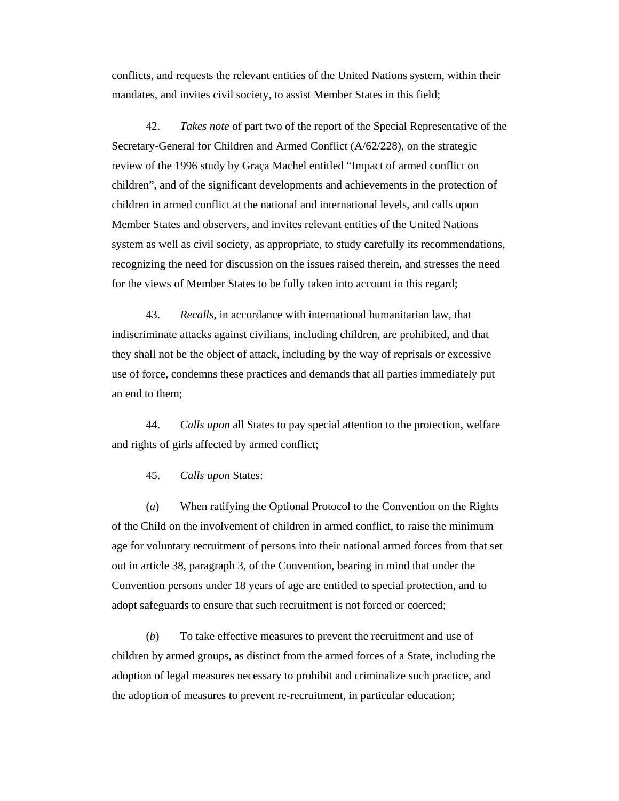conflicts, and requests the relevant entities of the United Nations system, within their mandates, and invites civil society, to assist Member States in this field;

 42. *Takes note* of part two of the report of the Special Representative of the Secretary-General for Children and Armed Conflict (A/62/228), on the strategic review of the 1996 study by Graça Machel entitled "Impact of armed conflict on children", and of the significant developments and achievements in the protection of children in armed conflict at the national and international levels, and calls upon Member States and observers, and invites relevant entities of the United Nations system as well as civil society, as appropriate, to study carefully its recommendations, recognizing the need for discussion on the issues raised therein, and stresses the need for the views of Member States to be fully taken into account in this regard;

 43. *Recalls*, in accordance with international humanitarian law, that indiscriminate attacks against civilians, including children, are prohibited, and that they shall not be the object of attack, including by the way of reprisals or excessive use of force, condemns these practices and demands that all parties immediately put an end to them;

 44. *Calls upon* all States to pay special attention to the protection, welfare and rights of girls affected by armed conflict;

45. *Calls upon* States:

 (*a*) When ratifying the Optional Protocol to the Convention on the Rights of the Child on the involvement of children in armed conflict, to raise the minimum age for voluntary recruitment of persons into their national armed forces from that set out in article 38, paragraph 3, of the Convention, bearing in mind that under the Convention persons under 18 years of age are entitled to special protection, and to adopt safeguards to ensure that such recruitment is not forced or coerced;

 (*b*) To take effective measures to prevent the recruitment and use of children by armed groups, as distinct from the armed forces of a State, including the adoption of legal measures necessary to prohibit and criminalize such practice, and the adoption of measures to prevent re-recruitment, in particular education;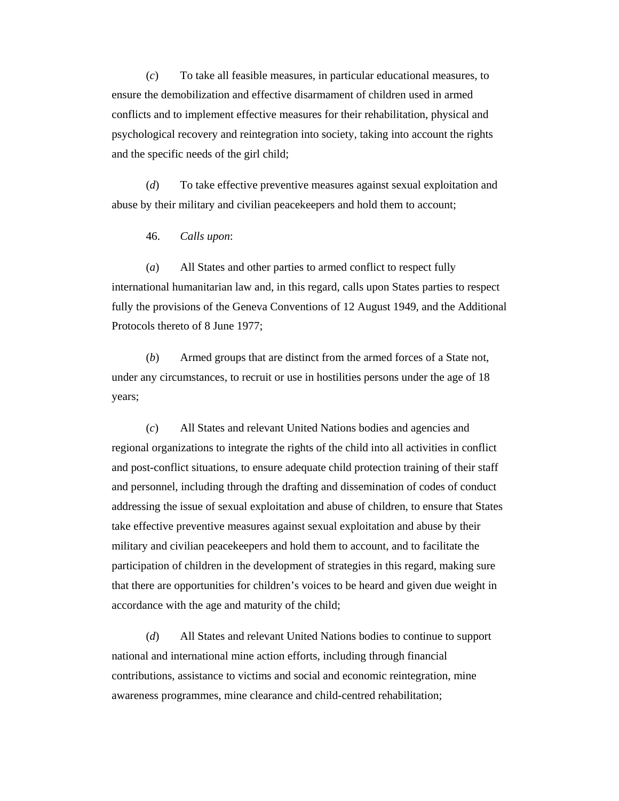(*c*) To take all feasible measures, in particular educational measures, to ensure the demobilization and effective disarmament of children used in armed conflicts and to implement effective measures for their rehabilitation, physical and psychological recovery and reintegration into society, taking into account the rights and the specific needs of the girl child;

 (*d*) To take effective preventive measures against sexual exploitation and abuse by their military and civilian peacekeepers and hold them to account;

46. *Calls upon*:

 (*a*) All States and other parties to armed conflict to respect fully international humanitarian law and, in this regard, calls upon States parties to respect fully the provisions of the Geneva Conventions of 12 August 1949, and the Additional Protocols thereto of 8 June 1977;

 (*b*) Armed groups that are distinct from the armed forces of a State not, under any circumstances, to recruit or use in hostilities persons under the age of 18 years;

 (*c*) All States and relevant United Nations bodies and agencies and regional organizations to integrate the rights of the child into all activities in conflict and post-conflict situations, to ensure adequate child protection training of their staff and personnel, including through the drafting and dissemination of codes of conduct addressing the issue of sexual exploitation and abuse of children, to ensure that States take effective preventive measures against sexual exploitation and abuse by their military and civilian peacekeepers and hold them to account, and to facilitate the participation of children in the development of strategies in this regard, making sure that there are opportunities for children's voices to be heard and given due weight in accordance with the age and maturity of the child;

 (*d*) All States and relevant United Nations bodies to continue to support national and international mine action efforts, including through financial contributions, assistance to victims and social and economic reintegration, mine awareness programmes, mine clearance and child-centred rehabilitation;